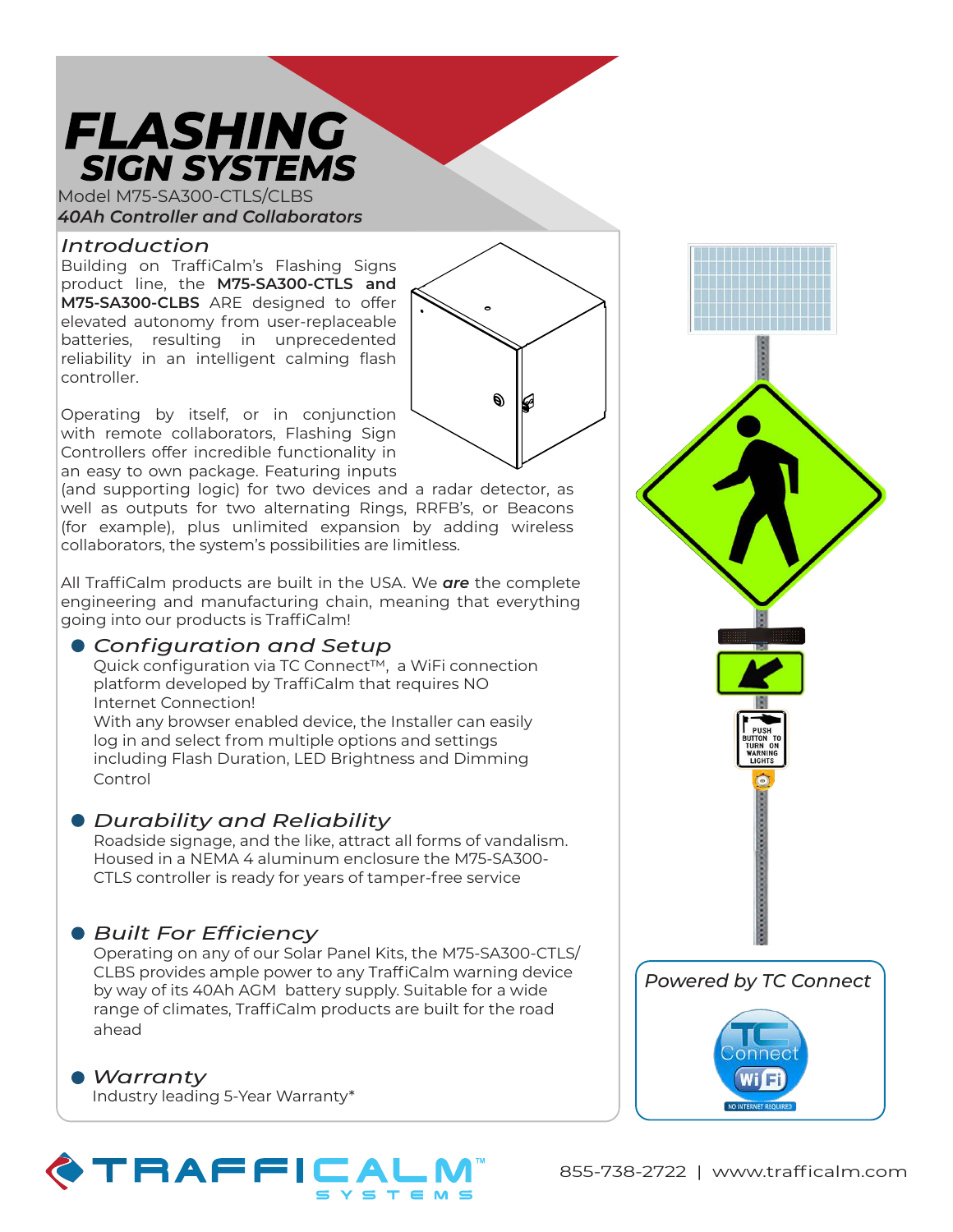## **FLASHING SIGN SYSTEMS**

Model M75-SA300-CTLS/CLBS *40Ah Controller and Collaborators*

## *Introduction*

Building on TraffiCalm's Flashing Signs product line, the **M75-SA300-CTLS and M75-SA300-CLBS** ARE designed to offer elevated autonomy from user-replaceable batteries, resulting in unprecedented reliability in an intelligent calming flash controller.

Operating by itself, or in conjunction with remote collaborators, Flashing Sign Controllers offer incredible functionality in an easy to own package. Featuring inputs

(and supporting logic) for two devices and a radar detector, as well as outputs for two alternating Rings, RRFB's, or Beacons (for example), plus unlimited expansion by adding wireless collaborators, the system's possibilities are limitless.

Ó)

All TraffiCalm products are built in the USA. We *are* the complete engineering and manufacturing chain, meaning that everything going into our products is TraffiCalm!

## *Configuration and Setup*

Quick configuration via TC Connect™, a WiFi connection platform developed by TraffiCalm that requires NO Internet Connection!

With any browser enabled device, the Installer can easily log in and select from multiple options and settings including Flash Duration, LED Brightness and Dimming Control

## *Durability and Reliability*

Roadside signage, and the like, attract all forms of vandalism. Housed in a NEMA 4 aluminum enclosure the M75-SA300- CTLS controller is ready for years of tamper-free service

## *Built For Efficiency*

Operating on any of our Solar Panel Kits, the M75-SA300-CTLS/ CLBS provides ample power to any TraffiCalm warning device by way of its 40Ah AGM battery supply. Suitable for a wide range of climates, TraffiCalm products are built for the road ahead

*Warranty* Industry leading 5-Year Warranty\*

# TRAFFICA